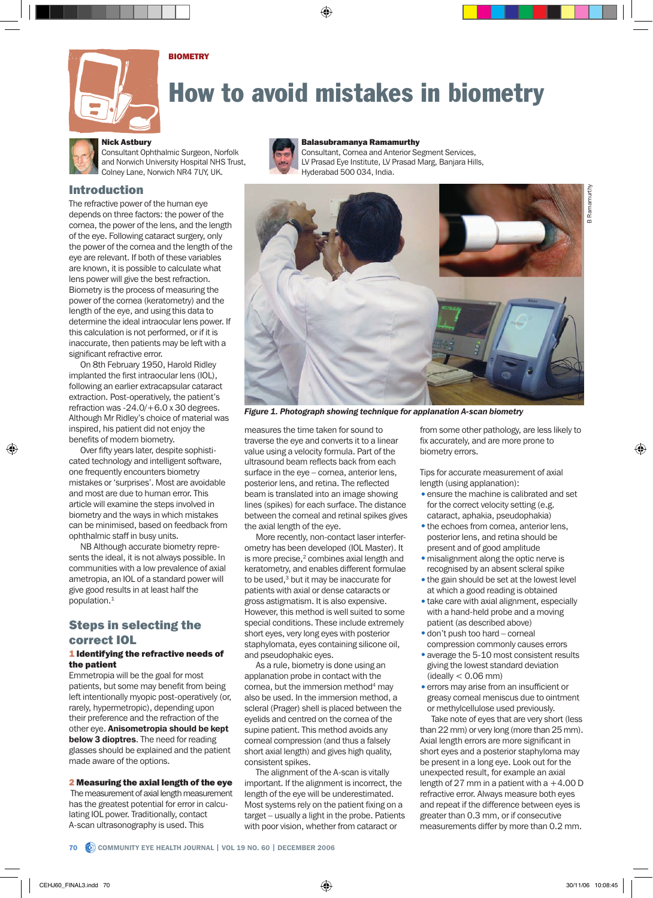



# How to avoid mistakes in biometry

### Nick Astbury

Consultant Ophthalmic Surgeon, Norfolk and Norwich University Hospital NHS Trust, Colney Lane, Norwich NR4 7UY, UK.

## Introduction

The refractive power of the human eye depends on three factors: the power of the cornea, the power of the lens, and the length of the eye. Following cataract surgery, only the power of the cornea and the length of the eye are relevant. If both of these variables are known, it is possible to calculate what lens power will give the best refraction. Biometry is the process of measuring the power of the cornea (keratometry) and the length of the eye, and using this data to determine the ideal intraocular lens power. If this calculation is not performed, or if it is inaccurate, then patients may be left with a significant refractive error.

On 8th February 1950, Harold Ridley implanted the first intraocular lens (IOL), following an earlier extracapsular cataract extraction. Post-operatively, the patient's refraction was -24.0/+6.0 x 30 degrees. Although Mr Ridley's choice of material was inspired, his patient did not enjoy the benefits of modern biometry.

Over fifty years later, despite sophisticated technology and intelligent software, one frequently encounters biometry mistakes or 'surprises'. Most are avoidable and most are due to human error. This article will examine the steps involved in biometry and the ways in which mistakes can be minimised, based on feedback from ophthalmic staff in busy units.

NB Although accurate biometry represents the ideal, it is not always possible. In communities with a low prevalence of axial ametropia, an IOL of a standard power will give good results in at least half the population.<sup>1</sup>

# Steps in selecting the correct IOL

#### 1 Identifying the refractive needs of the patient

Emmetropia will be the goal for most patients, but some may benefit from being left intentionally myopic post-operatively (or, rarely, hypermetropic), depending upon their preference and the refraction of the other eye. Anisometropia should be kept below 3 dioptres. The need for reading glasses should be explained and the patient made aware of the options.

2 Measuring the axial length of the eye The measurement of axial length measurement has the greatest potential for error in calculating IOL power. Traditionally, contact

A-scan ultrasonography is used. This



#### Balasubramanya Ramamurthy

Consultant, Cornea and Anterior Segment Services, LV Prasad Eye Institute, LV Prasad Marg, Banjara Hills, Hyderabad 500 034, India.



*Figure 1. Photograph showing technique for applanation A-scan biometry*

measures the time taken for sound to traverse the eye and converts it to a linear value using a velocity formula. Part of the ultrasound beam reflects back from each surface in the eye – cornea, anterior lens, posterior lens, and retina. The reflected beam is translated into an image showing lines (spikes) for each surface. The distance between the corneal and retinal spikes gives the axial length of the eye.

More recently, non-contact laser interferometry has been developed (IOL Master). It is more precise,<sup>2</sup> combines axial length and keratometry, and enables different formulae to be used,<sup>3</sup> but it may be inaccurate for patients with axial or dense cataracts or gross astigmatism. It is also expensive. However, this method is well suited to some special conditions. These include extremely short eyes, very long eyes with posterior staphylomata, eyes containing silicone oil, and pseudophakic eyes.

As a rule, biometry is done using an applanation probe in contact with the cornea, but the immersion method<sup>4</sup> may also be used. In the immersion method, a scleral (Prager) shell is placed between the eyelids and centred on the cornea of the supine patient. This method avoids any corneal compression (and thus a falsely short axial length) and gives high quality, consistent spikes.

The alignment of the A-scan is vitally important. If the alignment is incorrect, the length of the eye will be underestimated. Most systems rely on the patient fixing on a target – usually a light in the probe. Patients with poor vision, whether from cataract or

from some other pathology, are less likely to fix accurately, and are more prone to biometry errors.

Tips for accurate measurement of axial length (using applanation):

- ensure the machine is calibrated and set for the correct velocity setting (e.g. cataract, aphakia, pseudophakia)
- the echoes from cornea, anterior lens, posterior lens, and retina should be present and of good amplitude
- misalignment along the optic nerve is recognised by an absent scleral spike
- the gain should be set at the lowest level at which a good reading is obtained
- take care with axial alignment, especially with a hand-held probe and a moving patient (as described above)
- •don't push too hard corneal compression commonly causes errors
- average the 5-10 most consistent results giving the lowest standard deviation  $(i$ deally  $< 0.06$  mm)
- errors may arise from an insufficient or greasy corneal meniscus due to ointment or methylcellulose used previously.

Take note of eyes that are very short (less than 22 mm) or very long (more than 25 mm). Axial length errors are more significant in short eyes and a posterior staphyloma may be present in a long eye. Look out for the unexpected result, for example an axial length of 27 mm in a patient with  $a + 4.00 D$ refractive error. Always measure both eyes and repeat if the difference between eyes is greater than 0.3 mm, or if consecutive measurements differ by more than 0.2 mm.